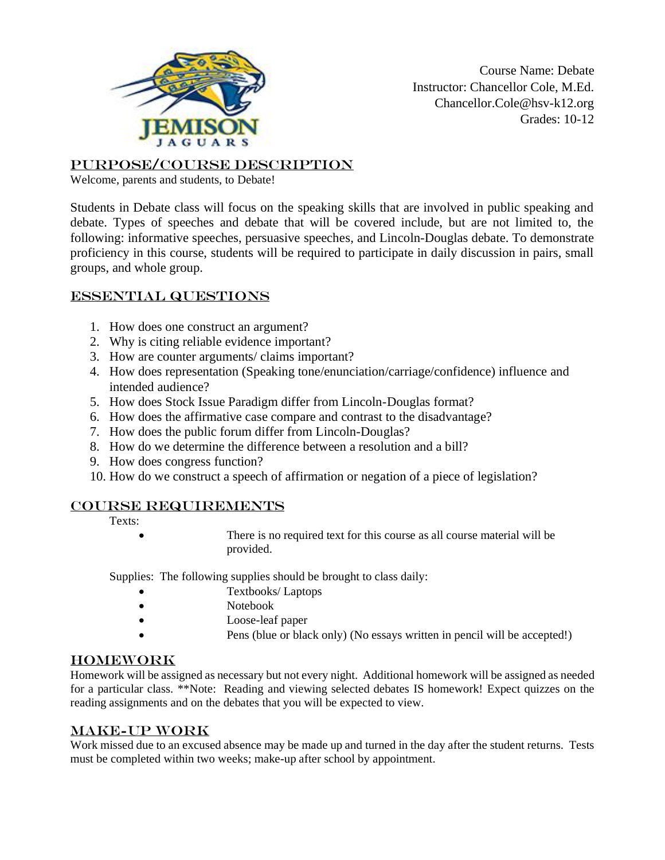

Course Name: Debate Instructor: Chancellor Cole, M.Ed. Chancellor.Cole@hsv-k12.org Grades: 10-12

Purpose/Course Description

Welcome, parents and students, to Debate!

Students in Debate class will focus on the speaking skills that are involved in public speaking and debate. Types of speeches and debate that will be covered include, but are not limited to, the following: informative speeches, persuasive speeches, and Lincoln-Douglas debate. To demonstrate proficiency in this course, students will be required to participate in daily discussion in pairs, small groups, and whole group.

## Essential Questions

- 1. How does one construct an argument?
- 2. Why is citing reliable evidence important?
- 3. How are counter arguments/ claims important?
- 4. How does representation (Speaking tone/enunciation/carriage/confidence) influence and intended audience?
- 5. How does Stock Issue Paradigm differ from Lincoln-Douglas format?
- 6. How does the affirmative case compare and contrast to the disadvantage?
- 7. How does the public forum differ from Lincoln-Douglas?
- 8. How do we determine the difference between a resolution and a bill?
- 9. How does congress function?
- 10. How do we construct a speech of affirmation or negation of a piece of legislation?

### Course Requirements

- Texts:
- There is no required text for this course as all course material will be provided.

Supplies: The following supplies should be brought to class daily:

- Textbooks/ Laptops
- Notebook
- Loose-leaf paper
- Pens (blue or black only) (No essays written in pencil will be accepted!)

### Homework

Homework will be assigned as necessary but not every night. Additional homework will be assigned as needed for a particular class. \*\*Note: Reading and viewing selected debates IS homework! Expect quizzes on the reading assignments and on the debates that you will be expected to view.

### Make-up Work

Work missed due to an excused absence may be made up and turned in the day after the student returns. Tests must be completed within two weeks; make-up after school by appointment.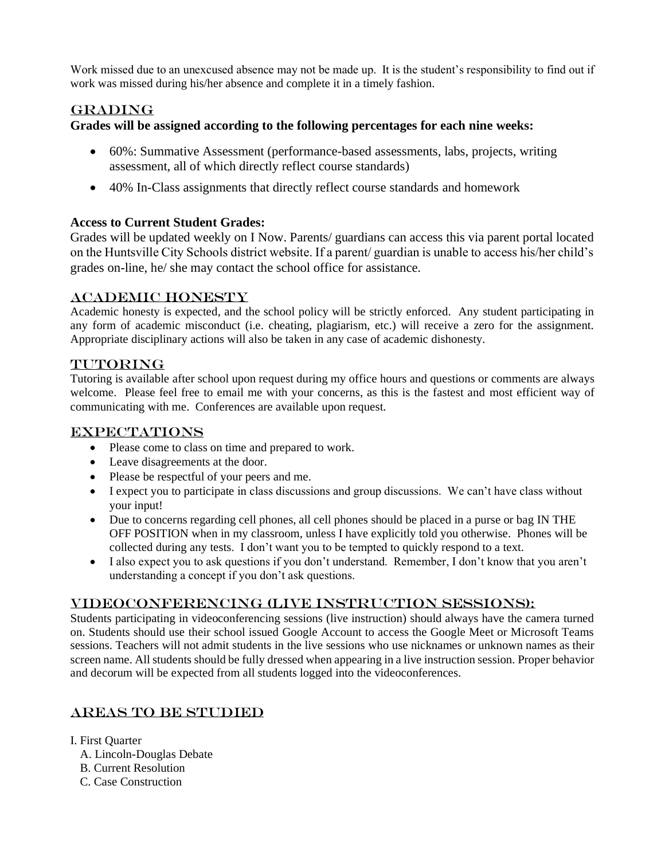Work missed due to an unexcused absence may not be made up. It is the student's responsibility to find out if work was missed during his/her absence and complete it in a timely fashion.

## **GRADING**

### **Grades will be assigned according to the following percentages for each nine weeks:**

- 60%: Summative Assessment (performance-based assessments, labs, projects, writing assessment, all of which directly reflect course standards)
- 40% In-Class assignments that directly reflect course standards and homework

## **Access to Current Student Grades:**

Grades will be updated weekly on I Now. Parents/ guardians can access this via parent portal located on the Huntsville City Schools district website. If a parent/ guardian is unable to access his/her child's grades on-line, he/ she may contact the school office for assistance.

## Academic Honesty

Academic honesty is expected, and the school policy will be strictly enforced. Any student participating in any form of academic misconduct (i.e. cheating, plagiarism, etc.) will receive a zero for the assignment. Appropriate disciplinary actions will also be taken in any case of academic dishonesty.

## TUTORING

Tutoring is available after school upon request during my office hours and questions or comments are always welcome. Please feel free to email me with your concerns, as this is the fastest and most efficient way of communicating with me. Conferences are available upon request.

### **EXPECTATIONS**

- Please come to class on time and prepared to work.
- Leave disagreements at the door.
- Please be respectful of your peers and me.
- I expect you to participate in class discussions and group discussions. We can't have class without your input!
- Due to concerns regarding cell phones, all cell phones should be placed in a purse or bag IN THE OFF POSITION when in my classroom, unless I have explicitly told you otherwise. Phones will be collected during any tests. I don't want you to be tempted to quickly respond to a text.
- I also expect you to ask questions if you don't understand. Remember, I don't know that you aren't understanding a concept if you don't ask questions.

### Videoconferencing (Live Instruction Sessions):

Students participating in videoconferencing sessions (live instruction) should always have the camera turned on. Students should use their school issued Google Account to access the Google Meet or Microsoft Teams sessions. Teachers will not admit students in the live sessions who use nicknames or unknown names as their screen name. All students should be fully dressed when appearing in a live instruction session. Proper behavior and decorum will be expected from all students logged into the videoconferences.

# Areas to be Studied

- I. First Quarter
	- A. Lincoln-Douglas Debate
	- B. Current Resolution
	- C. Case Construction